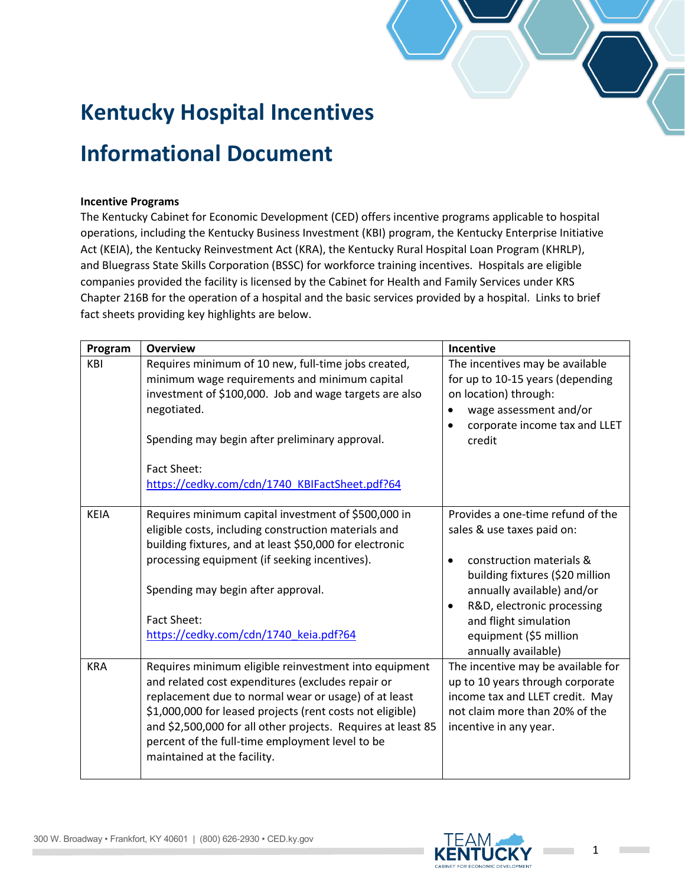## **Kentucky Hospital Incentives**

## **Informational Document**

## **Incentive Programs**

The Kentucky Cabinet for Economic Development (CED) offers incentive programs applicable to hospital operations, including the Kentucky Business Investment (KBI) program, the Kentucky Enterprise Initiative Act (KEIA), the Kentucky Reinvestment Act (KRA), the Kentucky Rural Hospital Loan Program (KHRLP), and Bluegrass State Skills Corporation (BSSC) for workforce training incentives. Hospitals are eligible companies provided the facility is licensed by the Cabinet for Health and Family Services under KRS Chapter 216B for the operation of a hospital and the basic services provided by a hospital. Links to brief fact sheets providing key highlights are below.

| Program     | <b>Overview</b>                                                                                                                                                                                                                                                                                                                                                                   | Incentive                                                                                                                                                                                                                                                                         |
|-------------|-----------------------------------------------------------------------------------------------------------------------------------------------------------------------------------------------------------------------------------------------------------------------------------------------------------------------------------------------------------------------------------|-----------------------------------------------------------------------------------------------------------------------------------------------------------------------------------------------------------------------------------------------------------------------------------|
| KBI         | Requires minimum of 10 new, full-time jobs created,<br>minimum wage requirements and minimum capital<br>investment of \$100,000. Job and wage targets are also<br>negotiated.<br>Spending may begin after preliminary approval.<br><b>Fact Sheet:</b><br>https://cedky.com/cdn/1740 KBIFactSheet.pdf?64                                                                           | The incentives may be available<br>for up to 10-15 years (depending<br>on location) through:<br>wage assessment and/or<br>٠<br>corporate income tax and LLET<br>$\bullet$<br>credit                                                                                               |
| <b>KEIA</b> | Requires minimum capital investment of \$500,000 in<br>eligible costs, including construction materials and<br>building fixtures, and at least \$50,000 for electronic<br>processing equipment (if seeking incentives).<br>Spending may begin after approval.<br><b>Fact Sheet:</b><br>https://cedky.com/cdn/1740_keia.pdf?64                                                     | Provides a one-time refund of the<br>sales & use taxes paid on:<br>construction materials &<br>building fixtures (\$20 million<br>annually available) and/or<br>R&D, electronic processing<br>$\bullet$<br>and flight simulation<br>equipment (\$5 million<br>annually available) |
| <b>KRA</b>  | Requires minimum eligible reinvestment into equipment<br>and related cost expenditures (excludes repair or<br>replacement due to normal wear or usage) of at least<br>\$1,000,000 for leased projects (rent costs not eligible)<br>and \$2,500,000 for all other projects. Requires at least 85<br>percent of the full-time employment level to be<br>maintained at the facility. | The incentive may be available for<br>up to 10 years through corporate<br>income tax and LLET credit. May<br>not claim more than 20% of the<br>incentive in any year.                                                                                                             |